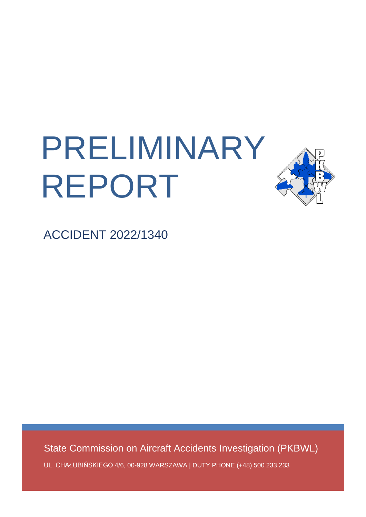# PRELIMINARY REPORT



ACCIDENT 2022/1340

State Commission on Aircraft Accidents Investigation (PKBWL)

UL. CHAŁUBIŃSKIEGO 4/6, 00-928 WARSZAWA | DUTY PHONE (+48) 500 233 233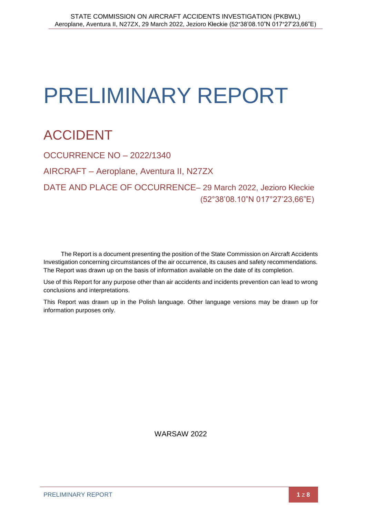# PRELIMINARY REPORT

# ACCIDENT

OCCURRENCE NO – 2022/1340 AIRCRAFT – Aeroplane, Aventura II, N27ZX DATE AND PLACE OF OCCURRENCE– 29 March 2022, Jezioro Kłeckie (52°38'08.10"N 017°27'23,66"E)

The Report is a document presenting the position of the State Commission on Aircraft Accidents Investigation concerning circumstances of the air occurrence, its causes and safety recommendations. The Report was drawn up on the basis of information available on the date of its completion.

Use of this Report for any purpose other than air accidents and incidents prevention can lead to wrong conclusions and interpretations.

This Report was drawn up in the Polish language. Other language versions may be drawn up for information purposes only.

WARSAW 2022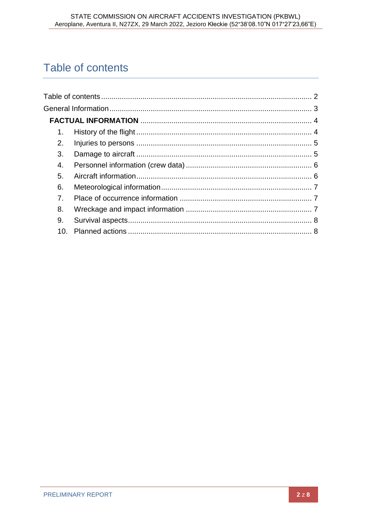## <span id="page-2-0"></span>Table of contents

| 1.             |  |
|----------------|--|
| 2.             |  |
| 3 <sub>1</sub> |  |
| 4.             |  |
| 5.             |  |
| 6.             |  |
| 7 <sub>1</sub> |  |
| 8.             |  |
| 9.             |  |
| 10.            |  |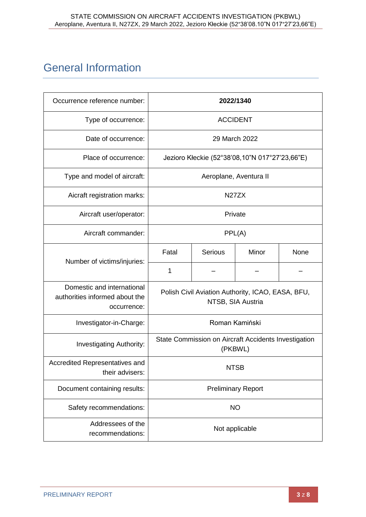### <span id="page-3-0"></span>General Information

| Occurrence reference number:                                                |                                                                        |         | 2022/1340              |      |  |
|-----------------------------------------------------------------------------|------------------------------------------------------------------------|---------|------------------------|------|--|
| Type of occurrence:                                                         | <b>ACCIDENT</b>                                                        |         |                        |      |  |
| Date of occurrence:                                                         | 29 March 2022                                                          |         |                        |      |  |
| Place of occurrence:                                                        | Jezioro Kłeckie (52°38'08,10"N 017°27'23,66"E)                         |         |                        |      |  |
| Type and model of aircraft:                                                 |                                                                        |         | Aeroplane, Aventura II |      |  |
| Aicraft registration marks:                                                 | N <sub>27</sub> ZX                                                     |         |                        |      |  |
| Aircraft user/operator:                                                     | Private                                                                |         |                        |      |  |
| Aircraft commander:                                                         | PPL(A)                                                                 |         |                        |      |  |
| Number of victims/injuries:                                                 | Fatal                                                                  | Serious | Minor                  | None |  |
|                                                                             | 1                                                                      |         |                        |      |  |
| Domestic and international<br>authorities informed about the<br>occurrence: | Polish Civil Aviation Authority, ICAO, EASA, BFU,<br>NTSB, SIA Austria |         |                        |      |  |
| Investigator-in-Charge:                                                     | Roman Kamiński                                                         |         |                        |      |  |
| <b>Investigating Authority:</b>                                             | State Commission on Aircraft Accidents Investigation<br>(PKBWL)        |         |                        |      |  |
| Accredited Representatives and<br>their advisers:                           | <b>NTSB</b>                                                            |         |                        |      |  |
| Document containing results:                                                | <b>Preliminary Report</b>                                              |         |                        |      |  |
| Safety recommendations:                                                     | <b>NO</b>                                                              |         |                        |      |  |
| Addressees of the<br>recommendations:                                       | Not applicable                                                         |         |                        |      |  |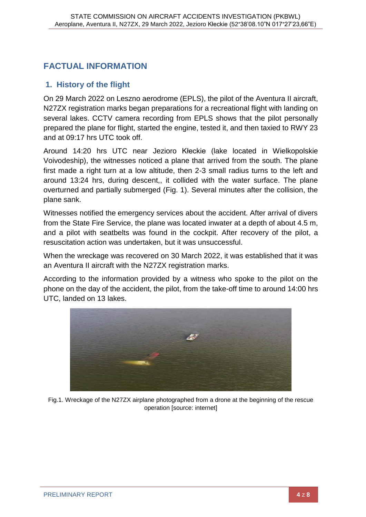#### <span id="page-4-0"></span>**FACTUAL INFORMATION**

#### <span id="page-4-1"></span>**1. History of the flight**

On 29 March 2022 on Leszno aerodrome (EPLS), the pilot of the Aventura II aircraft, N27ZX registration marks began preparations for a recreational flight with landing on several lakes. CCTV camera recording from EPLS shows that the pilot personally prepared the plane for flight, started the engine, tested it, and then taxied to RWY 23 and at 09:17 hrs UTC took off.

Around 14:20 hrs UTC near Jezioro Kłeckie (lake located in Wielkopolskie Voivodeship), the witnesses noticed a plane that arrived from the south. The plane first made a right turn at a low altitude, then 2-3 small radius turns to the left and around 13:24 hrs, during descent,, it collided with the water surface. The plane overturned and partially submerged (Fig. 1). Several minutes after the collision, the plane sank.

Witnesses notified the emergency services about the accident. After arrival of divers from the State Fire Service, the plane was located inwater at a depth of about 4.5 m, and a pilot with seatbelts was found in the cockpit. After recovery of the pilot, a resuscitation action was undertaken, but it was unsuccessful.

When the wreckage was recovered on 30 March 2022, it was established that it was an Aventura II aircraft with the N27ZX registration marks.

According to the information provided by a witness who spoke to the pilot on the phone on the day of the accident, the pilot, from the take-off time to around 14:00 hrs UTC, landed on 13 lakes.



Fig.1. Wreckage of the N27ZX airplane photographed from a drone at the beginning of the rescue operation [source: internet]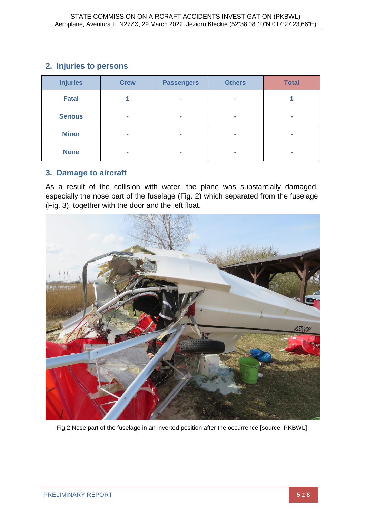#### <span id="page-5-0"></span>**2. Injuries to persons**

| <b>Injuries</b> | <b>Crew</b> | <b>Passengers</b> | <b>Others</b> | <b>Total</b> |
|-----------------|-------------|-------------------|---------------|--------------|
| <b>Fatal</b>    |             | ÷                 | ÷             |              |
| <b>Serious</b>  | ÷           | ÷                 | a.            |              |
| <b>Minor</b>    | ÷           | ÷                 | ÷             | ٠            |
| <b>None</b>     | ٠           | m.                | ÷             | ۰            |

#### <span id="page-5-1"></span>**3. Damage to aircraft**

As a result of the collision with water, the plane was substantially damaged, especially the nose part of the fuselage (Fig. 2) which separated from the fuselage (Fig. 3), together with the door and the left float.



Fig.2 Nose part of the fuselage in an inverted position after the occurrence [source: PKBWL]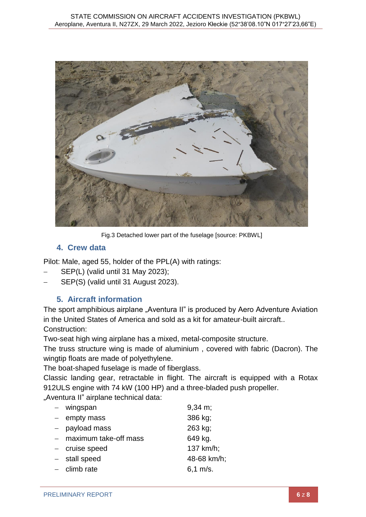

Fig.3 Detached lower part of the fuselage [source: PKBWL]

#### **4. Crew data**

<span id="page-6-0"></span>Pilot: Male, aged 55, holder of the PPL(A) with ratings:

- SEP(L) (valid until 31 May 2023);
- <span id="page-6-1"></span>SEP(S) (valid until 31 August 2023).

#### **5. Aircraft information**

The sport amphibious airplane "Aventura II" is produced by Aero Adventure Aviation in the United States of America and sold as a kit for amateur-built aircraft.. Construction:

Two-seat high wing airplane has a mixed, metal-composite structure.

The truss structure wing is made of aluminium , covered with fabric (Dacron). The wingtip floats are made of polyethylene.

The boat-shaped fuselage is made of fiberglass.

Classic landing gear, retractable in flight. The aircraft is equipped with a Rotax 912ULS engine with 74 kW (100 HP) and a three-bladed push propeller.

"Aventura II" airplane technical data:

| $-$ wingspan          | $9,34 \text{ m}$ ; |
|-----------------------|--------------------|
| $-$ empty mass        | 386 kg;            |
| - payload mass        | 263 kg;            |
| maximum take-off mass | 649 kg.            |
| - cruise speed        | 137 km/h;          |
| $-$ stall speed       | 48-68 km/h;        |
| $-$ climb rate        | $6,1 \; m/s.$      |
|                       |                    |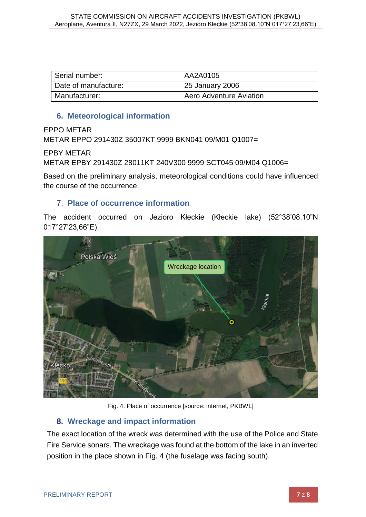| Serial number:       | AA2A0105                |
|----------------------|-------------------------|
| Date of manufacture: | 25 January 2006         |
| Manufacturer:        | Aero Adventure Aviation |

#### **6. Meteorological information**

<span id="page-7-0"></span>EPPO METAR

METAR EPPO 291430Z 35007KT 9999 BKN041 09/M01 Q1007=

EPBY METAR

METAR EPBY 291430Z 28011KT 240V300 9999 SCT045 09/M04 Q1006=

Based on the preliminary analysis, meteorological conditions could have influenced the course of the occurrence.

#### <span id="page-7-1"></span>7. **Place of occurrence information**

The accident occurred on Jezioro Kłeckie (Kłeckie lake) (52°38'08.10"N 017°27'23,66"E).



Fig. 4. Place of occurrence [source: internet, PKBWL]

#### <span id="page-7-2"></span>**8. Wreckage and impact information**

The exact location of the wreck was determined with the use of the Police and State Fire Service sonars. The wreckage was found at the bottom of the lake in an inverted position in the place shown in Fig. 4 (the fuselage was facing south).